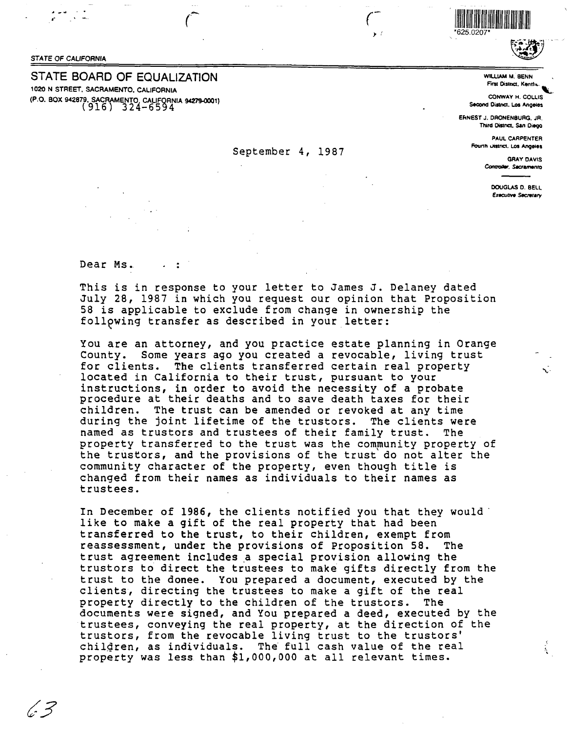## **STATE OF CALIFORNIA**

(c<sup>.</sup> 3

## STATE BOARD OF EQUALIZATION

1020 N STREET, SACRAMENTO, CALIFORNIA (P.O. BOX 942879, SACRAMENTO, CALIFORNIA 94279-0001)<br>(916) 324-6594

625 0207



**WILLIAM M. BENN First District, Kenth** 

CONWAY H. COLLIS Second District, Los Angeles

ERNEST J. DRONENBURG, JR. Third District, San Diego

> PAUL CARPENTER Fourth Uistrict, Los Angeles

> > **GRAY DAVIS** Controller, Sacramento

> > > DOUGLAS D. BELL **Executive Secretary**

> > > > Ą.

Dear Ms.

This is in response to your letter to James J. Delaney dated July 28, 1987 in which you request our opinion that Proposition 58 is applicable to exclude from change in ownership the following transfer as described in your letter:

September 4, 1987

You are an attorney, and you practice estate planning in Orange County. Some years ago you created a revocable, living trust for clients. The clients transferred certain real property located in California to their trust, pursuant to your instructions, in order to avoid the necessity of a probate procedure at their deaths and to save death taxes for their children. The trust can be amended or revoked at any time during the joint lifetime of the trustors. The clients were named as trustors and trustees of their family trust. The property transferred to the trust was the community property of the trustors, and the provisions of the trust do not alter the community character of the property, even though title is changed from their names as individuals to their names as trustees.

In December of 1986, the clients notified you that they would like to make a gift of the real property that had been transferred to the trust, to their children, exempt from reassessment, under the provisions of Proposition 58. The trust agreement includes a special provision allowing the trustors to direct the trustees to make gifts directly from the trust to the donee. You prepared a document, executed by the clients, directing the trustees to make a gift of the real property directly to the children of the trustors. The documents were signed, and You prepared a deed, executed by the trustees, conveying the real property, at the direction of the trustors, from the revocable living trust to the trustors' children, as individuals. The full cash value of the real property was less than \$1,000,000 at all relevant times.